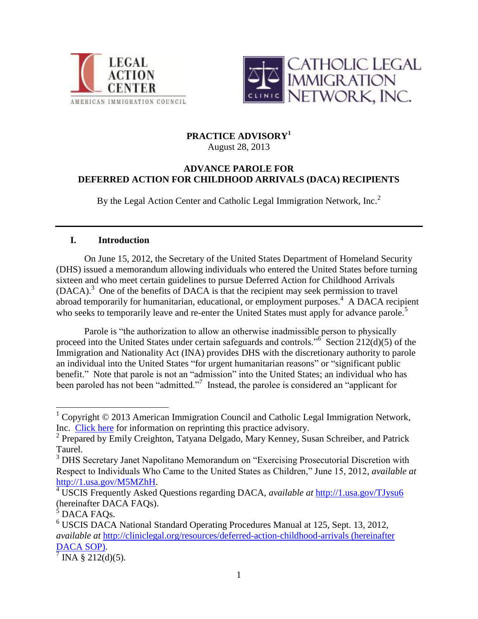



# **PRACTICE ADVISORY<sup>1</sup>**

August 28, 2013

# **ADVANCE PAROLE FOR DEFERRED ACTION FOR CHILDHOOD ARRIVALS (DACA) RECIPIENTS**

By the Legal Action Center and Catholic Legal Immigration Network, Inc. $<sup>2</sup>$ </sup>

# **I. Introduction**

On June 15, 2012, the Secretary of the United States Department of Homeland Security (DHS) issued a memorandum allowing individuals who entered the United States before turning sixteen and who meet certain guidelines to pursue Deferred Action for Childhood Arrivals (DACA).<sup>3</sup> One of the benefits of DACA is that the recipient may seek permission to travel abroad temporarily for humanitarian, educational, or employment purposes.<sup>4</sup> A DACA recipient who seeks to temporarily leave and re-enter the United States must apply for advance parole.<sup>5</sup>

Parole is "the authorization to allow an otherwise inadmissible person to physically proceed into the United States under certain safeguards and controls."<sup>6</sup> Section  $212(d)(5)$  of the Immigration and Nationality Act (INA) provides DHS with the discretionary authority to parole an individual into the United States "for urgent humanitarian reasons" or "significant public benefit." Note that parole is not an "admission" into the United States; an individual who has been paroled has not been "admitted."<sup>7</sup> Instead, the parolee is considered an "applicant for

 $\overline{a}$ 

 $1$  Copyright  $\odot$  2013 American Immigration Council and Catholic Legal Immigration Network, Inc. [Click here](http://www.legalactioncenter.org/sites/default/files/docs/lac/copyright-LAC.pdf) for information on reprinting this practice advisory.

<sup>&</sup>lt;sup>2</sup> Prepared by Emily Creighton, Tatyana Delgado, Mary Kenney, Susan Schreiber, and Patrick Taurel.

<sup>&</sup>lt;sup>3</sup> DHS Secretary Janet Napolitano Memorandum on "Exercising Prosecutorial Discretion with Respect to Individuals Who Came to the United States as Children," June 15, 2012, *available at*  [http://1.usa.gov/M5MZhH.](http://1.usa.gov/M5MZhH)

<sup>4</sup> USCIS Frequently Asked Questions regarding DACA, *available at* <http://1.usa.gov/TJysu6> (hereinafter DACA FAQs).

 $\overrightarrow{5}$  DACA FAQs.

<sup>6</sup> USCIS DACA National Standard Operating Procedures Manual at 125, Sept. 13, 2012, *available at* <http://cliniclegal.org/resources/deferred-action-childhood-arrivals> (hereinafter DACA SOP).

 $\sqrt{7}$  INA § 212(d)(5).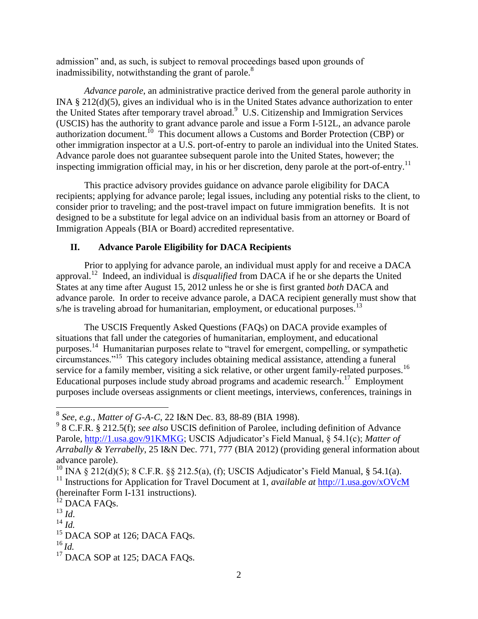admission" and, as such, is subject to removal proceedings based upon grounds of inadmissibility, notwithstanding the grant of parole. $8<sup>8</sup>$ 

*Advance parole*, an administrative practice derived from the general parole authority in INA § 212(d)(5), gives an individual who is in the United States advance authorization to enter the United States after temporary travel abroad.<sup>9</sup> U.S. Citizenship and Immigration Services (USCIS) has the authority to grant advance parole and issue a Form I-512L, an advance parole authorization document.<sup>10</sup> This document allows a Customs and Border Protection (CBP) or other immigration inspector at a U.S. port-of-entry to parole an individual into the United States. Advance parole does not guarantee subsequent parole into the United States, however; the inspecting immigration official may, in his or her discretion, deny parole at the port-of-entry.<sup>11</sup>

This practice advisory provides guidance on advance parole eligibility for DACA recipients; applying for advance parole; legal issues, including any potential risks to the client, to consider prior to traveling; and the post-travel impact on future immigration benefits. It is not designed to be a substitute for legal advice on an individual basis from an attorney or Board of Immigration Appeals (BIA or Board) accredited representative.

# **II. Advance Parole Eligibility for DACA Recipients**

Prior to applying for advance parole, an individual must apply for and receive a DACA approval. 12 Indeed, an individual is *disqualified* from DACA if he or she departs the United States at any time after August 15, 2012 unless he or she is first granted *both* DACA and advance parole. In order to receive advance parole, a DACA recipient generally must show that s/he is traveling abroad for humanitarian, employment, or educational purposes.<sup>13</sup>

The USCIS Frequently Asked Questions (FAQs) on DACA provide examples of situations that fall under the categories of humanitarian, employment, and educational purposes. <sup>14</sup> Humanitarian purposes relate to "travel for emergent, compelling, or sympathetic circumstances."<sup>15</sup> This category includes obtaining medical assistance, attending a funeral service for a family member, visiting a sick relative, or other urgent family-related purposes.<sup>16</sup> Educational purposes include study abroad programs and academic research.<sup>17</sup> Employment purposes include overseas assignments or client meetings, interviews, conferences, trainings in

 8 *See, e.g.*, *Matter of G-A-C*, 22 I&N Dec. 83, 88-89 (BIA 1998).

<sup>9</sup> 8 C.F.R. § 212.5(f); *see also* USCIS definition of Parolee, including definition of Advance Parole, [http://1.usa.gov/91KMKG;](http://1.usa.gov/91KMKG) USCIS Adjudicator's Field Manual, § 54.1(c); *Matter of Arrabally & Yerrabelly*, 25 I&N Dec. 771, 777 (BIA 2012) (providing general information about advance parole).

<sup>&</sup>lt;sup>10</sup> INA § 212(d)(5); 8 C.F.R. §§ 212.5(a), (f); USCIS Adjudicator's Field Manual, § 54.1(a). <sup>11</sup> Instructions for Application for Travel Document at 1, *available at* <http://1.usa.gov/xOVcM> (hereinafter Form I-131 instructions).

<sup>&</sup>lt;sup>12</sup> DACA FAQs.

<sup>13</sup> *Id*.

 $^{14}$  *Id.* 

 $15$  DACA SOP at 126; DACA FAOs.

 $^{16}$  *Id.* 

<sup>&</sup>lt;sup>17</sup> DACA SOP at 125; DACA FAQs.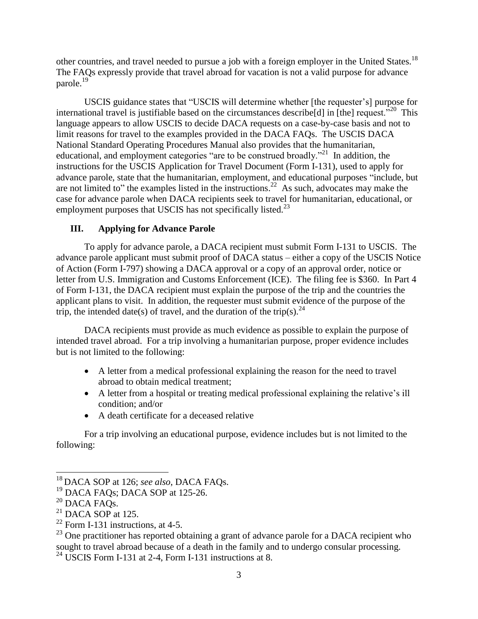other countries, and travel needed to pursue a job with a foreign employer in the United States.<sup>18</sup> The FAQs expressly provide that travel abroad for vacation is not a valid purpose for advance parole.<sup>19</sup>

USCIS guidance states that "USCIS will determine whether [the requester's] purpose for international travel is justifiable based on the circumstances describe [d] in [the] request.<sup> $320$ </sup> This language appears to allow USCIS to decide DACA requests on a case-by-case basis and not to limit reasons for travel to the examples provided in the DACA FAQs. The USCIS DACA National Standard Operating Procedures Manual also provides that the humanitarian, educational, and employment categories "are to be construed broadly."<sup>21</sup> In addition, the instructions for the USCIS Application for Travel Document (Form I-131), used to apply for advance parole, state that the humanitarian, employment, and educational purposes "include, but are not limited to" the examples listed in the instructions.<sup>22</sup> As such, advocates may make the case for advance parole when DACA recipients seek to travel for humanitarian, educational, or employment purposes that USCIS has not specifically listed. $^{23}$ 

## **III. Applying for Advance Parole**

To apply for advance parole, a DACA recipient must submit Form I-131 to USCIS. The advance parole applicant must submit proof of DACA status – either a copy of the USCIS Notice of Action (Form I-797) showing a DACA approval or a copy of an approval order, notice or letter from U.S. Immigration and Customs Enforcement (ICE). The filing fee is \$360. In Part 4 of Form I-131, the DACA recipient must explain the purpose of the trip and the countries the applicant plans to visit. In addition, the requester must submit evidence of the purpose of the trip, the intended date(s) of travel, and the duration of the trip(s).<sup>24</sup>

DACA recipients must provide as much evidence as possible to explain the purpose of intended travel abroad. For a trip involving a humanitarian purpose, proper evidence includes but is not limited to the following:

- A letter from a medical professional explaining the reason for the need to travel abroad to obtain medical treatment;
- A letter from a hospital or treating medical professional explaining the relative's ill condition; and/or
- A death certificate for a deceased relative

For a trip involving an educational purpose, evidence includes but is not limited to the following:

 $\overline{\phantom{a}}$ 

<sup>18</sup> DACA SOP at 126; *see also*, DACA FAQs.

<sup>&</sup>lt;sup>19</sup> DACA FAQs; DACA SOP at 125-26.

 $20$  DACA FAQs.

 $21$  DACA SOP at 125.

 $22$  Form I-131 instructions, at 4-5.

 $^{23}$  One practitioner has reported obtaining a grant of advance parole for a DACA recipient who sought to travel abroad because of a death in the family and to undergo consular processing.

 $24$  USCIS Form I-131 at 2-4, Form I-131 instructions at 8.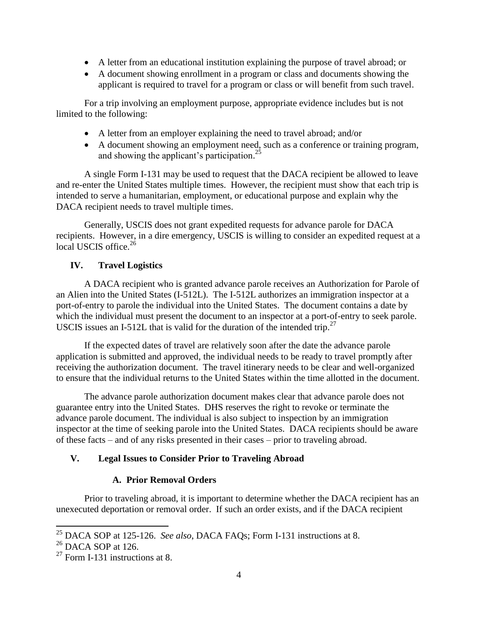- A letter from an educational institution explaining the purpose of travel abroad; or
- A document showing enrollment in a program or class and documents showing the applicant is required to travel for a program or class or will benefit from such travel.

For a trip involving an employment purpose, appropriate evidence includes but is not limited to the following:

- A letter from an employer explaining the need to travel abroad; and/or
- A document showing an employment need, such as a conference or training program, and showing the applicant's participation.<sup>25</sup>

A single Form I-131 may be used to request that the DACA recipient be allowed to leave and re-enter the United States multiple times. However, the recipient must show that each trip is intended to serve a humanitarian, employment, or educational purpose and explain why the DACA recipient needs to travel multiple times.

Generally, USCIS does not grant expedited requests for advance parole for DACA recipients. However, in a dire emergency, USCIS is willing to consider an expedited request at a local USCIS office.<sup>26</sup>

## **IV. Travel Logistics**

A DACA recipient who is granted advance parole receives an Authorization for Parole of an Alien into the United States (I-512L). The I-512L authorizes an immigration inspector at a port-of-entry to parole the individual into the United States. The document contains a date by which the individual must present the document to an inspector at a port-of-entry to seek parole. USCIS issues an I-512L that is valid for the duration of the intended trip.<sup>27</sup>

If the expected dates of travel are relatively soon after the date the advance parole application is submitted and approved, the individual needs to be ready to travel promptly after receiving the authorization document. The travel itinerary needs to be clear and well-organized to ensure that the individual returns to the United States within the time allotted in the document.

The advance parole authorization document makes clear that advance parole does not guarantee entry into the United States. DHS reserves the right to revoke or terminate the advance parole document. The individual is also subject to inspection by an immigration inspector at the time of seeking parole into the United States. DACA recipients should be aware of these facts – and of any risks presented in their cases – prior to traveling abroad.

## **V. Legal Issues to Consider Prior to Traveling Abroad**

## **A. Prior Removal Orders**

Prior to traveling abroad, it is important to determine whether the DACA recipient has an unexecuted deportation or removal order. If such an order exists, and if the DACA recipient

 $\overline{\phantom{a}}$ 

<sup>25</sup> DACA SOP at 125-126. *See also*, DACA FAQs; Form I-131 instructions at 8.

 $26$  DACA SOP at 126.

 $27$  Form I-131 instructions at 8.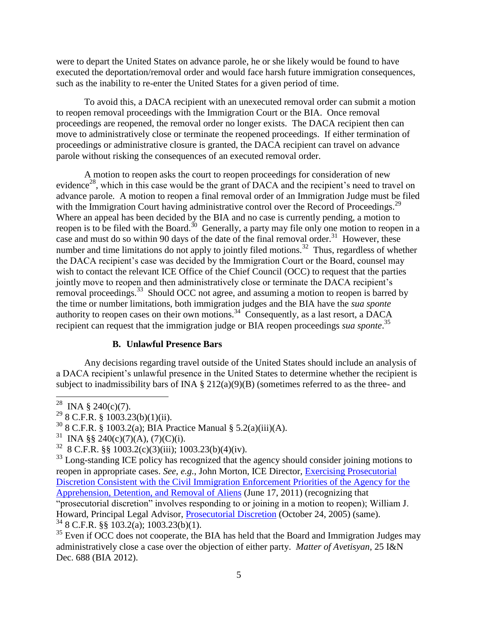were to depart the United States on advance parole, he or she likely would be found to have executed the deportation/removal order and would face harsh future immigration consequences, such as the inability to re-enter the United States for a given period of time.

To avoid this, a DACA recipient with an unexecuted removal order can submit a motion to reopen removal proceedings with the Immigration Court or the BIA. Once removal proceedings are reopened, the removal order no longer exists. The DACA recipient then can move to administratively close or terminate the reopened proceedings. If either termination of proceedings or administrative closure is granted, the DACA recipient can travel on advance parole without risking the consequences of an executed removal order.

A motion to reopen asks the court to reopen proceedings for consideration of new evidence<sup>28</sup>, which in this case would be the grant of DACA and the recipient's need to travel on advance parole. A motion to reopen a final removal order of an Immigration Judge must be filed with the Immigration Court having administrative control over the Record of Proceedings.<sup>29</sup> Where an appeal has been decided by the BIA and no case is currently pending, a motion to reopen is to be filed with the Board.<sup>30</sup> Generally, a party may file only one motion to reopen in a case and must do so within 90 days of the date of the final removal order.<sup>31</sup> However, these number and time limitations do not apply to jointly filed motions.<sup>32</sup> Thus, regardless of whether the DACA recipient's case was decided by the Immigration Court or the Board, counsel may wish to contact the relevant ICE Office of the Chief Council (OCC) to request that the parties jointly move to reopen and then administratively close or terminate the DACA recipient's removal proceedings.<sup>33</sup> Should OCC not agree, and assuming a motion to reopen is barred by the time or number limitations, both immigration judges and the BIA have the *sua sponte* authority to reopen cases on their own motions.<sup>34</sup> Consequently, as a last resort, a DACA recipient can request that the immigration judge or BIA reopen proceedings *sua sponte*. 35

## **B. Unlawful Presence Bars**

Any decisions regarding travel outside of the United States should include an analysis of a DACA recipient's unlawful presence in the United States to determine whether the recipient is subject to inadmissibility bars of INA  $\S 212(a)(9)(B)$  (sometimes referred to as the three- and

 $35$  Even if OCC does not cooperate, the BIA has held that the Board and Immigration Judges may administratively close a case over the objection of either party. *Matter of Avetisyan*, 25 I&N Dec. 688 (BIA 2012).

<sup>&</sup>lt;sup>28</sup> INA § 240(c)(7).

 $29$  8 C.F.R. § 1003.23(b)(1)(ii).

 $30$  8 C.F.R. § 1003.2(a); BIA Practice Manual § 5.2(a)(iii)(A).

<sup>&</sup>lt;sup>31</sup> INA §§ 240(c)(7)(A), (7)(C)(i).

 $32$  8 C.F.R. §§ 1003.2(c)(3)(iii); 1003.23(b)(4)(iv).

 $33$  Long-standing ICE policy has recognized that the agency should consider joining motions to reopen in appropriate cases. *See, e.g.*, John Morton, ICE Director, [Exercising Prosecutorial](http://www.legalactioncenter.org/sites/default/files/docs/lac/Exercising-Prosecutorial-Discretion-6-17-2011.pdf)  [Discretion Consistent with the Civil Immigration Enforcement Priorities of the Agency for the](http://www.legalactioncenter.org/sites/default/files/docs/lac/Exercising-Prosecutorial-Discretion-6-17-2011.pdf)  [Apprehension, Detention, and Removal of Aliens](http://www.legalactioncenter.org/sites/default/files/docs/lac/Exercising-Prosecutorial-Discretion-6-17-2011.pdf) (June 17, 2011) (recognizing that "prosecutorial discretion" involves responding to or joining in a motion to reopen); William J. Howard, Principal Legal Advisor, [Prosecutorial Discretion](http://www.legalactioncenter.org/sites/default/files/docs/lac/Howard-10-24-2005-memo.pdf) (October 24, 2005) (same).  $34$  8 C.F.R. §§ 103.2(a); 1003.23(b)(1).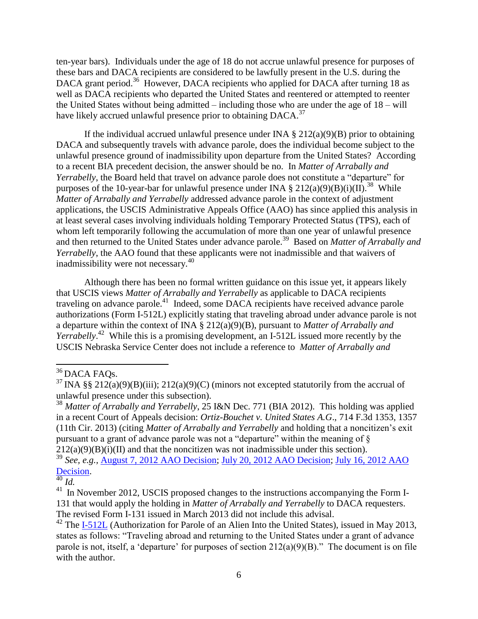ten-year bars). Individuals under the age of 18 do not accrue unlawful presence for purposes of these bars and DACA recipients are considered to be lawfully present in the U.S. during the DACA grant period.<sup>36</sup> However, DACA recipients who applied for DACA after turning 18 as well as DACA recipients who departed the United States and reentered or attempted to reenter the United States without being admitted – including those who are under the age of 18 – will have likely accrued unlawful presence prior to obtaining DACA.<sup>37</sup>

If the individual accrued unlawful presence under INA  $\S 212(a)(9)(B)$  prior to obtaining DACA and subsequently travels with advance parole, does the individual become subject to the unlawful presence ground of inadmissibility upon departure from the United States? According to a recent BIA precedent decision, the answer should be no. In *Matter of Arrabally and Yerrabelly*, the Board held that travel on advance parole does not constitute a "departure" for purposes of the 10-year-bar for unlawful presence under INA  $\S 212(a)(9)(B)(i)(II).$ <sup>38</sup> While *Matter of Arrabally and Yerrabelly* addressed advance parole in the context of adjustment applications, the USCIS Administrative Appeals Office (AAO) has since applied this analysis in at least several cases involving individuals holding Temporary Protected Status (TPS), each of whom left temporarily following the accumulation of more than one year of unlawful presence and then returned to the United States under advance parole.<sup>39</sup> Based on *Matter of Arrabally and Yerrabelly*, the AAO found that these applicants were not inadmissible and that waivers of inadmissibility were not necessary.<sup>40</sup>

Although there has been no formal written guidance on this issue yet, it appears likely that USCIS views *Matter of Arrabally and Yerrabelly* as applicable to DACA recipients traveling on advance parole.<sup>41</sup> Indeed, some DACA recipients have received advance parole authorizations (Form I-512L) explicitly stating that traveling abroad under advance parole is not a departure within the context of INA § 212(a)(9)(B), pursuant to *Matter of Arrabally and Yerrabelly*. <sup>42</sup> While this is a promising development, an I-512L issued more recently by the USCIS Nebraska Service Center does not include a reference to *Matter of Arrabally and* 

 $\overline{\phantom{a}}$ 

<sup>39</sup> *See, e.g.,* [August 7, 2012 AAO Decision;](http://legalactioncenter.org/sites/default/files/AAO%20Decision%208-7-12.pdf) [July 20, 2012 AAO Decision;](http://legalactioncenter.org/sites/default/files/AAO%20Decision%207-20-12.pdf) [July 16, 2012 AAO](http://legalactioncenter.org/sites/default/files/AAO%20Decision%207-16-12.pdf)  [Decision.](http://legalactioncenter.org/sites/default/files/AAO%20Decision%207-16-12.pdf)

<sup>&</sup>lt;sup>36</sup> DACA FAOs.

<sup>&</sup>lt;sup>37</sup> INA §§ 212(a)(9)(B)(iii); 212(a)(9)(C) (minors not excepted statutorily from the accrual of unlawful presence under this subsection).

<sup>38</sup> *Matter of Arrabally and Yerrabelly*, 25 I&N Dec. 771 (BIA 2012). This holding was applied in a recent Court of Appeals decision: *Ortiz-Bouchet v. United States A.G*., 714 F.3d 1353, 1357 (11th Cir. 2013) (citing *Matter of Arrabally and Yerrabelly* and holding that a noncitizen's exit pursuant to a grant of advance parole was not a "departure" within the meaning of §  $212(a)(9)(B)(i)(II)$  and that the noncitizen was not inadmissible under this section).

 $\frac{40}{41}$  *Id.*<br><sup>41</sup> In

In November 2012, USCIS proposed changes to the instructions accompanying the Form I-131 that would apply the holding in *Matter of Arrabally and Yerrabelly* to DACA requesters. The revised Form I-131 issued in March 2013 did not include this advisal.

<sup>&</sup>lt;sup>42</sup> The [I-512L](http://legalactioncenter.org/sites/default/files/Advance%20Parole%20for%20DACA%20Recipient%20Sample.pdf) (Authorization for Parole of an Alien Into the United States), issued in May 2013, states as follows: "Traveling abroad and returning to the United States under a grant of advance parole is not, itself, a 'departure' for purposes of section 212(a)(9)(B)." The document is on file with the author.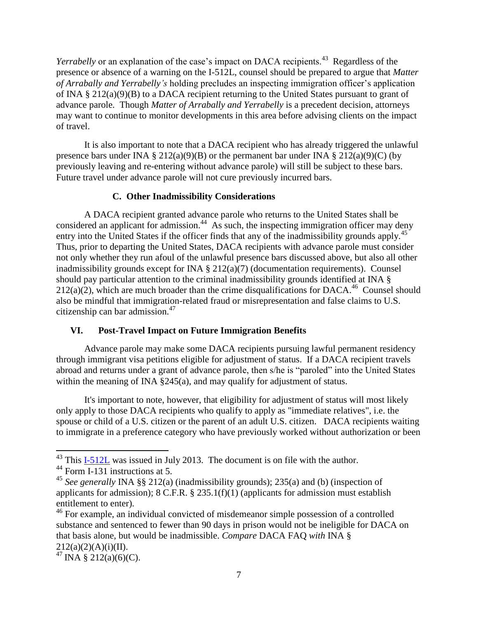Yerrabelly or an explanation of the case's impact on DACA recipients.<sup>43</sup> Regardless of the presence or absence of a warning on the I-512L, counsel should be prepared to argue that *Matter of Arrabally and Yerrabelly's* holding precludes an inspecting immigration officer's application of INA § 212(a)(9)(B) to a DACA recipient returning to the United States pursuant to grant of advance parole. Though *Matter of Arrabally and Yerrabelly* is a precedent decision, attorneys may want to continue to monitor developments in this area before advising clients on the impact of travel.

It is also important to note that a DACA recipient who has already triggered the unlawful presence bars under INA § 212(a)(9)(B) or the permanent bar under INA § 212(a)(9)(C) (by previously leaving and re-entering without advance parole) will still be subject to these bars. Future travel under advance parole will not cure previously incurred bars.

#### **C. Other Inadmissibility Considerations**

A DACA recipient granted advance parole who returns to the United States shall be considered an applicant for admission.<sup>44</sup> As such, the inspecting immigration officer may deny entry into the United States if the officer finds that any of the inadmissibility grounds apply.<sup>45</sup> Thus, prior to departing the United States, DACA recipients with advance parole must consider not only whether they run afoul of the unlawful presence bars discussed above, but also all other inadmissibility grounds except for INA § 212(a)(7) (documentation requirements). Counsel should pay particular attention to the criminal inadmissibility grounds identified at INA §  $212(a)(2)$ , which are much broader than the crime disqualifications for DACA.<sup>46</sup> Counsel should also be mindful that immigration-related fraud or misrepresentation and false claims to U.S. citizenship can bar admission. $47$ 

#### **VI. Post-Travel Impact on Future Immigration Benefits**

Advance parole may make some DACA recipients pursuing lawful permanent residency through immigrant visa petitions eligible for adjustment of status. If a DACA recipient travels abroad and returns under a grant of advance parole, then s/he is "paroled" into the United States within the meaning of INA §245(a), and may qualify for adjustment of status.

It's important to note, however, that eligibility for adjustment of status will most likely only apply to those DACA recipients who qualify to apply as "immediate relatives", i.e. the spouse or child of a U.S. citizen or the parent of an adult U.S. citizen. DACA recipients waiting to immigrate in a preference category who have previously worked without authorization or been

 $\overline{a}$ 

 $^{43}$  This  $\underline{I-512L}$  was issued in July 2013. The document is on file with the author.

<sup>&</sup>lt;sup>44</sup> Form  $\overline{1-131}$  instructions at 5.

<sup>45</sup> *See generally* INA §§ 212(a) (inadmissibility grounds); 235(a) and (b) (inspection of applicants for admission); 8 C.F.R. § 235.1(f)(1) (applicants for admission must establish entitlement to enter).

<sup>&</sup>lt;sup>46</sup> For example, an individual convicted of misdemeanor simple possession of a controlled substance and sentenced to fewer than 90 days in prison would not be ineligible for DACA on that basis alone, but would be inadmissible. *Compare* DACA FAQ *with* INA §  $212(a)(2)(A)(i)(II).$ 

 $^{47}$  INA § 212(a)(6)(C).